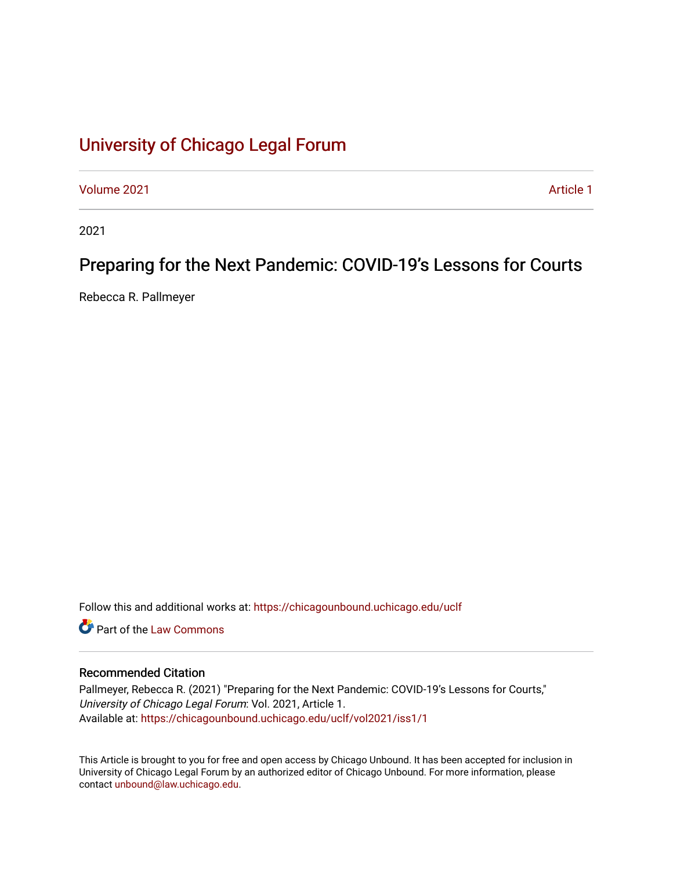# [University of Chicago Legal Forum](https://chicagounbound.uchicago.edu/uclf)

[Volume 2021](https://chicagounbound.uchicago.edu/uclf/vol2021) **Article 1** Article 1

2021

## Preparing for the Next Pandemic: COVID-19's Lessons for Courts

Rebecca R. Pallmeyer

Follow this and additional works at: [https://chicagounbound.uchicago.edu/uclf](https://chicagounbound.uchicago.edu/uclf?utm_source=chicagounbound.uchicago.edu%2Fuclf%2Fvol2021%2Fiss1%2F1&utm_medium=PDF&utm_campaign=PDFCoverPages) 

**C** Part of the [Law Commons](https://network.bepress.com/hgg/discipline/578?utm_source=chicagounbound.uchicago.edu%2Fuclf%2Fvol2021%2Fiss1%2F1&utm_medium=PDF&utm_campaign=PDFCoverPages)

#### Recommended Citation

Pallmeyer, Rebecca R. (2021) "Preparing for the Next Pandemic: COVID-19's Lessons for Courts," University of Chicago Legal Forum: Vol. 2021, Article 1. Available at: [https://chicagounbound.uchicago.edu/uclf/vol2021/iss1/1](https://chicagounbound.uchicago.edu/uclf/vol2021/iss1/1?utm_source=chicagounbound.uchicago.edu%2Fuclf%2Fvol2021%2Fiss1%2F1&utm_medium=PDF&utm_campaign=PDFCoverPages) 

This Article is brought to you for free and open access by Chicago Unbound. It has been accepted for inclusion in University of Chicago Legal Forum by an authorized editor of Chicago Unbound. For more information, please contact [unbound@law.uchicago.edu](mailto:unbound@law.uchicago.edu).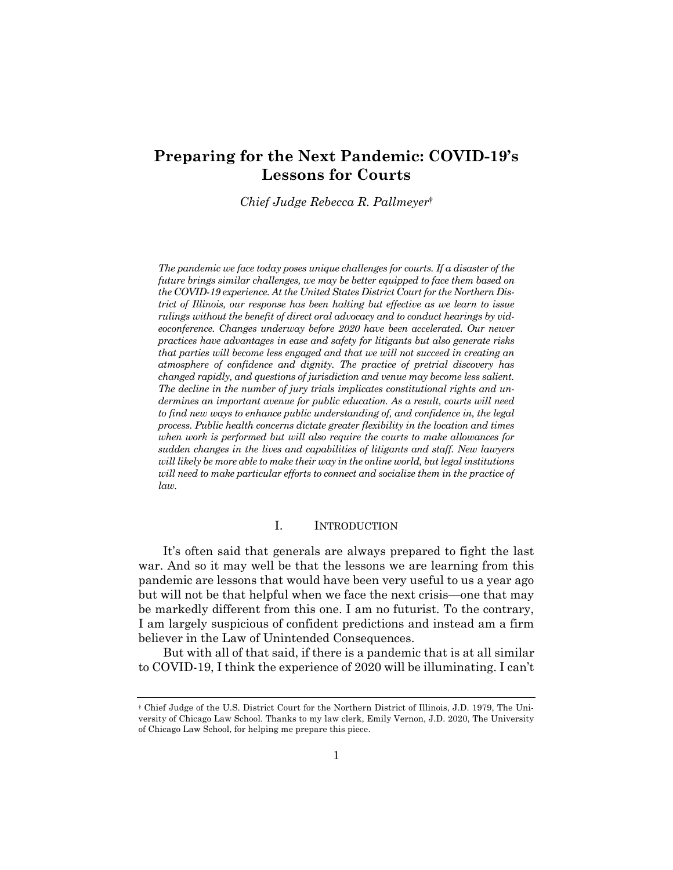### **Preparing for the Next Pandemic: COVID-19's Lessons for Courts**

*Chief Judge Rebecca R. Pallmeyer*†

*The pandemic we face today poses unique challenges for courts. If a disaster of the future brings similar challenges, we may be better equipped to face them based on the COVID-19 experience. At the United States District Court for the Northern District of Illinois, our response has been halting but effective as we learn to issue rulings without the benefit of direct oral advocacy and to conduct hearings by videoconference. Changes underway before 2020 have been accelerated. Our newer practices have advantages in ease and safety for litigants but also generate risks that parties will become less engaged and that we will not succeed in creating an atmosphere of confidence and dignity. The practice of pretrial discovery has changed rapidly, and questions of jurisdiction and venue may become less salient. The decline in the number of jury trials implicates constitutional rights and undermines an important avenue for public education. As a result, courts will need to find new ways to enhance public understanding of, and confidence in, the legal process. Public health concerns dictate greater flexibility in the location and times when work is performed but will also require the courts to make allowances for sudden changes in the lives and capabilities of litigants and staff. New lawyers will likely be more able to make their way in the online world, but legal institutions will need to make particular efforts to connect and socialize them in the practice of law.*

#### I. INTRODUCTION

It's often said that generals are always prepared to fight the last war. And so it may well be that the lessons we are learning from this pandemic are lessons that would have been very useful to us a year ago but will not be that helpful when we face the next crisis—one that may be markedly different from this one. I am no futurist. To the contrary, I am largely suspicious of confident predictions and instead am a firm believer in the Law of Unintended Consequences.

But with all of that said, if there is a pandemic that is at all similar to COVID-19, I think the experience of 2020 will be illuminating. I can't

<sup>†</sup> Chief Judge of the U.S. District Court for the Northern District of Illinois, J.D. 1979, The University of Chicago Law School. Thanks to my law clerk, Emily Vernon, J.D. 2020, The University of Chicago Law School, for helping me prepare this piece.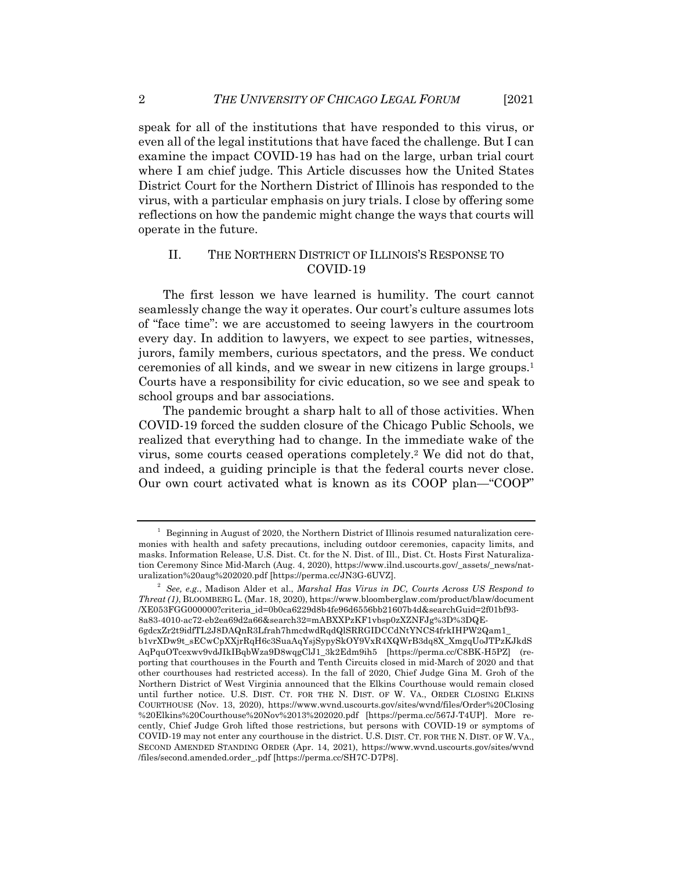speak for all of the institutions that have responded to this virus, or even all of the legal institutions that have faced the challenge. But I can examine the impact COVID-19 has had on the large, urban trial court where I am chief judge. This Article discusses how the United States District Court for the Northern District of Illinois has responded to the virus, with a particular emphasis on jury trials. I close by offering some reflections on how the pandemic might change the ways that courts will operate in the future.

### II. THE NORTHERN DISTRICT OF ILLINOIS'S RESPONSE TO COVID-19

The first lesson we have learned is humility. The court cannot seamlessly change the way it operates. Our court's culture assumes lots of "face time": we are accustomed to seeing lawyers in the courtroom every day. In addition to lawyers, we expect to see parties, witnesses, jurors, family members, curious spectators, and the press. We conduct ceremonies of all kinds, and we swear in new citizens in large groups.1 Courts have a responsibility for civic education, so we see and speak to school groups and bar associations.

The pandemic brought a sharp halt to all of those activities. When COVID-19 forced the sudden closure of the Chicago Public Schools, we realized that everything had to change. In the immediate wake of the virus, some courts ceased operations completely.2 We did not do that, and indeed, a guiding principle is that the federal courts never close. Our own court activated what is known as its COOP plan—"COOP"

 $1$  Beginning in August of 2020, the Northern District of Illinois resumed naturalization ceremonies with health and safety precautions, including outdoor ceremonies, capacity limits, and masks. Information Release, U.S. Dist. Ct. for the N. Dist. of Ill., Dist. Ct. Hosts First Naturalization Ceremony Since Mid-March (Aug. 4, 2020), https://www.ilnd.uscourts.gov/\_assets/\_news/naturalization%20aug%202020.pdf [https://perma.cc/JN3G-6UVZ].

<sup>2</sup> *See, e.g.*, Madison Alder et al., *Marshal Has Virus in DC, Courts Across US Respond to Threat (1)*, BLOOMBERG L. (Mar. 18, 2020), https://www.bloomberglaw.com/product/blaw/document /XE053FGG000000?criteria\_id=0b0ca6229d8b4fe96d6556bb21607b4d&searchGuid=2f01bf93- 8a83-4010-ac72-eb2ea69d2a66&search32=mABXXPzKF1vbsp0zXZNFJg%3D%3DQE-6gdcxZr2t9idfTL2J8DAQnR3Lfrah7hmcdwdRqdQlSRRGIDCCdNtYNCS4frkIHPW2Qam1\_ b1vrXDw9t\_sECwCpXXjrRqH6c3SuaAqYsjSypySkOY9VxR4XQWrB3dq8X\_XmgqUoJTPzKJkdS AqPquOTcexwv9vdJIkIBqbWza9D8wqgClJ1\_3k2Edm9ih5 [https://perma.cc/C8BK-H5PZ] (reporting that courthouses in the Fourth and Tenth Circuits closed in mid-March of 2020 and that other courthouses had restricted access). In the fall of 2020, Chief Judge Gina M. Groh of the Northern District of West Virginia announced that the Elkins Courthouse would remain closed until further notice. U.S. DIST. CT. FOR THE N. DIST. OF W. VA., ORDER CLOSING ELKINS COURTHOUSE (Nov. 13, 2020), https://www.wvnd.uscourts.gov/sites/wvnd/files/Order%20Closing %20Elkins%20Courthouse%20Nov%2013%202020.pdf [https://perma.cc/567J-T4UP]. More recently, Chief Judge Groh lifted those restrictions, but persons with COVID-19 or symptoms of COVID-19 may not enter any courthouse in the district. U.S. DIST. CT. FOR THE N. DIST. OF W. VA., SECOND AMENDED STANDING ORDER (Apr. 14, 2021), https://www.wvnd.uscourts.gov/sites/wvnd /files/second.amended.order\_.pdf [https://perma.cc/SH7C-D7P8].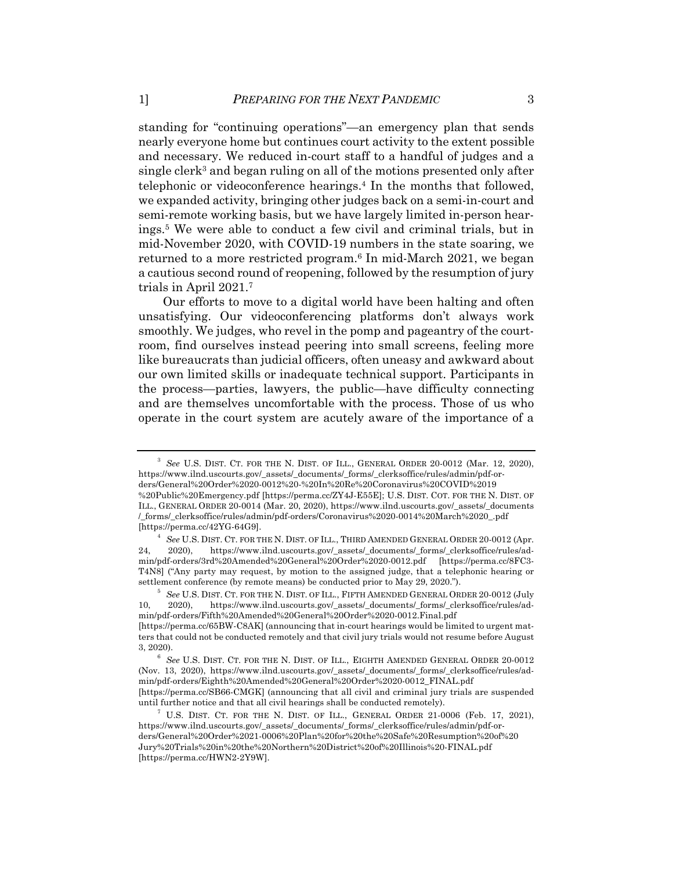standing for "continuing operations"—an emergency plan that sends nearly everyone home but continues court activity to the extent possible and necessary. We reduced in-court staff to a handful of judges and a single clerk<sup>3</sup> and began ruling on all of the motions presented only after telephonic or videoconference hearings.<sup>4</sup> In the months that followed, we expanded activity, bringing other judges back on a semi-in-court and semi-remote working basis, but we have largely limited in-person hearings.5 We were able to conduct a few civil and criminal trials, but in mid-November 2020, with COVID-19 numbers in the state soaring, we returned to a more restricted program.<sup>6</sup> In mid-March 2021, we began a cautious second round of reopening, followed by the resumption of jury trials in April 2021.7

Our efforts to move to a digital world have been halting and often unsatisfying. Our videoconferencing platforms don't always work smoothly. We judges, who revel in the pomp and pageantry of the courtroom, find ourselves instead peering into small screens, feeling more like bureaucrats than judicial officers, often uneasy and awkward about our own limited skills or inadequate technical support. Participants in the process—parties, lawyers, the public—have difficulty connecting and are themselves uncomfortable with the process. Those of us who operate in the court system are acutely aware of the importance of a

<sup>3</sup> *See* U.S. DIST. CT. FOR THE N. DIST. OF ILL., GENERAL ORDER 20-0012 (Mar. 12, 2020), https://www.ilnd.uscourts.gov/\_assets/\_documents/\_forms/\_clerksoffice/rules/admin/pdf-orders/General%20Order%2020-0012%20-%20In%20Re%20Coronavirus%20COVID%2019 %20Public%20Emergency.pdf [https://perma.cc/ZY4J-E55E]; U.S. DIST. COT. FOR THE N. DIST. OF ILL., GENERAL ORDER 20-0014 (Mar. 20, 2020), https://www.ilnd.uscourts.gov/\_assets/\_documents /\_forms/\_clerksoffice/rules/admin/pdf-orders/Coronavirus%2020-0014%20March%2020\_.pdf [https://perma.cc/42YG-64G9].

 $^4\;$   $See$  U.S. DIST. CT. FOR THE N. DIST. OF ILL., THIRD AMENDED GENERAL ORDER 20-0012 (Apr. 24, 2020), https://www.ilnd.uscourts.gov/\_assets/\_documents/\_forms/\_clerksoffice/rules/admin/pdf-orders/3rd%20Amended%20General%20Order%2020-0012.pdf [https://perma.cc/8FC3- T4N8] ("Any party may request, by motion to the assigned judge, that a telephonic hearing or settlement conference (by remote means) be conducted prior to May 29, 2020.").

<sup>5</sup> *See* U.S. DIST. CT. FOR THE N. DIST. OF ILL., FIFTH AMENDED GENERAL ORDER 20-0012 (July 10, 2020), https://www.ilnd.uscourts.gov/\_assets/\_documents/\_forms/\_clerksoffice/rules/admin/pdf-orders/Fifth%20Amended%20General%20Order%2020-0012.Final.pdf [https://perma.cc/65BW-C8AK] (announcing that in-court hearings would be limited to urgent matters that could not be conducted remotely and that civil jury trials would not resume before August 3, 2020).

 $^6\,$   $See$  U.S. DIST. CT. FOR THE N. DIST. OF ILL., EIGHTH AMENDED GENERAL ORDER  $20\text{-}0012$ (Nov. 13, 2020), https://www.ilnd.uscourts.gov/\_assets/\_documents/\_forms/\_clerksoffice/rules/admin/pdf-orders/Eighth%20Amended%20General%20Order%2020-0012\_FINAL.pdf [https://perma.cc/SB66-CMGK] (announcing that all civil and criminal jury trials are suspended until further notice and that all civil hearings shall be conducted remotely).

<sup>&</sup>lt;sup>7</sup> U.S. DIST. CT. FOR THE N. DIST. OF ILL., GENERAL ORDER 21-0006 (Feb. 17, 2021), https://www.ilnd.uscourts.gov/\_assets/\_documents/\_forms/\_clerksoffice/rules/admin/pdf-orders/General%20Order%2021-0006%20Plan%20for%20the%20Safe%20Resumption%20of%20 Jury%20Trials%20in%20the%20Northern%20District%20of%20Illinois%20-FINAL.pdf [https://perma.cc/HWN2-2Y9W].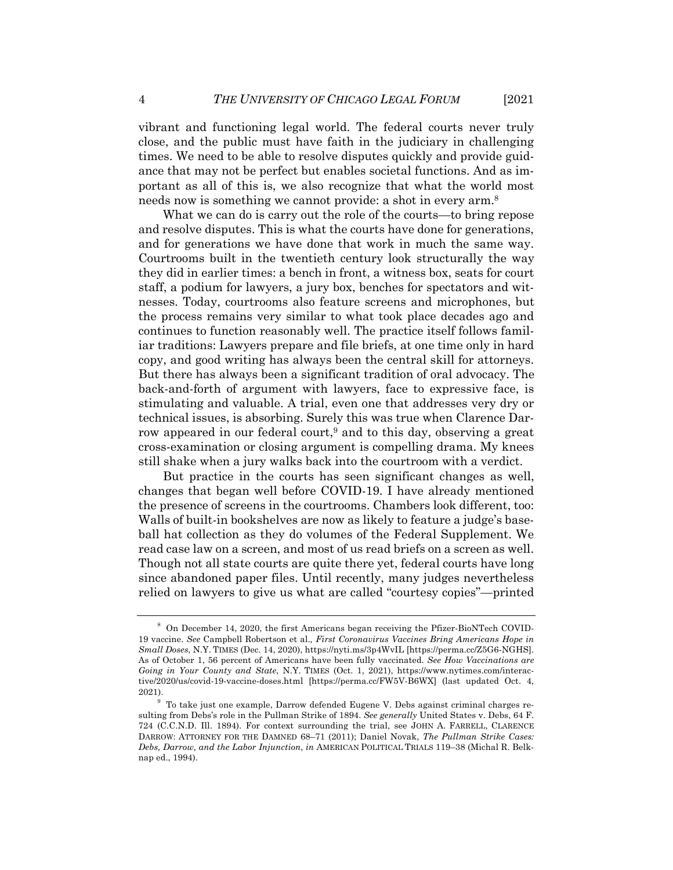vibrant and functioning legal world. The federal courts never truly close, and the public must have faith in the judiciary in challenging times. We need to be able to resolve disputes quickly and provide guidance that may not be perfect but enables societal functions. And as important as all of this is, we also recognize that what the world most needs now is something we cannot provide: a shot in every arm.8

What we can do is carry out the role of the courts—to bring repose and resolve disputes. This is what the courts have done for generations, and for generations we have done that work in much the same way. Courtrooms built in the twentieth century look structurally the way they did in earlier times: a bench in front, a witness box, seats for court staff, a podium for lawyers, a jury box, benches for spectators and witnesses. Today, courtrooms also feature screens and microphones, but the process remains very similar to what took place decades ago and continues to function reasonably well. The practice itself follows familiar traditions: Lawyers prepare and file briefs, at one time only in hard copy, and good writing has always been the central skill for attorneys. But there has always been a significant tradition of oral advocacy. The back-and-forth of argument with lawyers, face to expressive face, is stimulating and valuable. A trial, even one that addresses very dry or technical issues, is absorbing. Surely this was true when Clarence Darrow appeared in our federal court,<sup>9</sup> and to this day, observing a great cross-examination or closing argument is compelling drama. My knees still shake when a jury walks back into the courtroom with a verdict.

But practice in the courts has seen significant changes as well, changes that began well before COVID-19. I have already mentioned the presence of screens in the courtrooms. Chambers look different, too: Walls of built-in bookshelves are now as likely to feature a judge's baseball hat collection as they do volumes of the Federal Supplement. We read case law on a screen, and most of us read briefs on a screen as well. Though not all state courts are quite there yet, federal courts have long since abandoned paper files. Until recently, many judges nevertheless relied on lawyers to give us what are called "courtesy copies"—printed

<sup>8</sup> On December 14, 2020, the first Americans began receiving the Pfizer-BioNTech COVID-19 vaccine. *See* Campbell Robertson et al.*, First Coronavirus Vaccines Bring Americans Hope in Small Doses*, N.Y. TIMES (Dec. 14, 2020), https://nyti.ms/3p4WvIL [https://perma.cc/Z5G6-NGHS]. As of October 1, 56 percent of Americans have been fully vaccinated. *See How Vaccinations are Going in Your County and State*, N.Y. TIMES (Oct. 1, 2021), https://www.nytimes.com/interactive/2020/us/covid-19-vaccine-doses.html [https://perma.cc/FW5V-B6WX] (last updated Oct. 4, 2021).

<sup>9</sup> To take just one example, Darrow defended Eugene V. Debs against criminal charges resulting from Debs's role in the Pullman Strike of 1894. *See generally* United States v. Debs, 64 F. 724 (C.C.N.D. Ill. 1894). For context surrounding the trial, see JOHN A. FARRELL, CLARENCE DARROW: ATTORNEY FOR THE DAMNED 68–71 (2011); Daniel Novak, *The Pullman Strike Cases: Debs, Darrow, and the Labor Injunction*, *in* AMERICAN POLITICAL TRIALS 119–38 (Michal R. Belknap ed., 1994).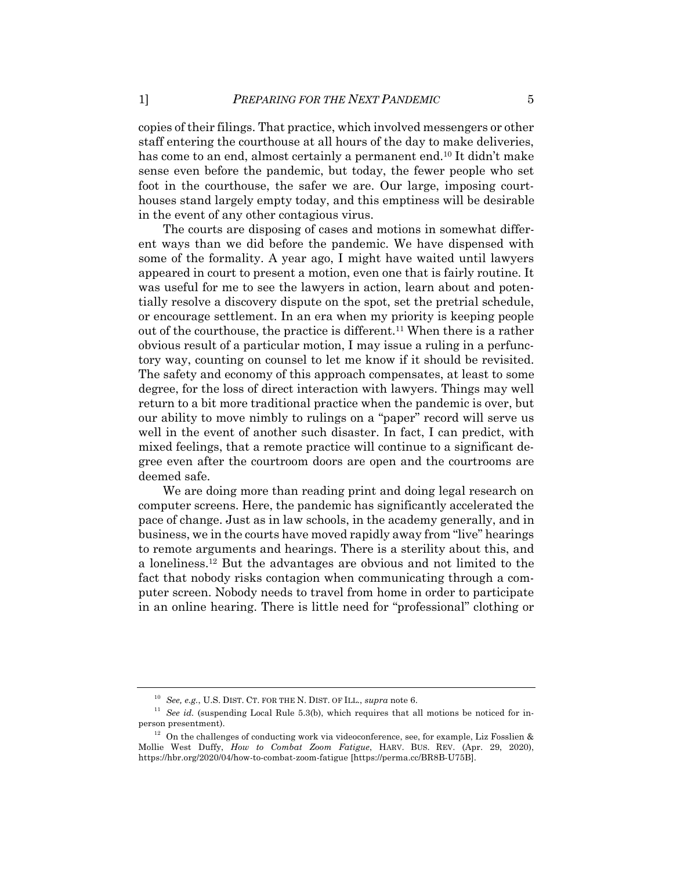copies of their filings. That practice, which involved messengers or other staff entering the courthouse at all hours of the day to make deliveries, has come to an end, almost certainly a permanent end.<sup>10</sup> It didn't make sense even before the pandemic, but today, the fewer people who set foot in the courthouse, the safer we are. Our large, imposing courthouses stand largely empty today, and this emptiness will be desirable in the event of any other contagious virus.

The courts are disposing of cases and motions in somewhat different ways than we did before the pandemic. We have dispensed with some of the formality. A year ago, I might have waited until lawyers appeared in court to present a motion, even one that is fairly routine. It was useful for me to see the lawyers in action, learn about and potentially resolve a discovery dispute on the spot, set the pretrial schedule, or encourage settlement. In an era when my priority is keeping people out of the courthouse, the practice is different.11 When there is a rather obvious result of a particular motion, I may issue a ruling in a perfunctory way, counting on counsel to let me know if it should be revisited. The safety and economy of this approach compensates, at least to some degree, for the loss of direct interaction with lawyers. Things may well return to a bit more traditional practice when the pandemic is over, but our ability to move nimbly to rulings on a "paper" record will serve us well in the event of another such disaster. In fact, I can predict, with mixed feelings, that a remote practice will continue to a significant degree even after the courtroom doors are open and the courtrooms are deemed safe.

We are doing more than reading print and doing legal research on computer screens. Here, the pandemic has significantly accelerated the pace of change. Just as in law schools, in the academy generally, and in business, we in the courts have moved rapidly away from "live" hearings to remote arguments and hearings. There is a sterility about this, and a loneliness.12 But the advantages are obvious and not limited to the fact that nobody risks contagion when communicating through a computer screen. Nobody needs to travel from home in order to participate in an online hearing. There is little need for "professional" clothing or

<sup>10</sup> *See, e.g.*, U.S. DIST. CT. FOR THE N. DIST. OF ILL., *supra* note 6.

 $11$  *See id.* (suspending Local Rule 5.3(b), which requires that all motions be noticed for inperson presentment).

 $12$  On the challenges of conducting work via videoconference, see, for example, Liz Fosslien & Mollie West Duffy, *How to Combat Zoom Fatigue*, HARV. BUS. REV. (Apr. 29, 2020), https://hbr.org/2020/04/how-to-combat-zoom-fatigue [https://perma.cc/BR8B-U75B].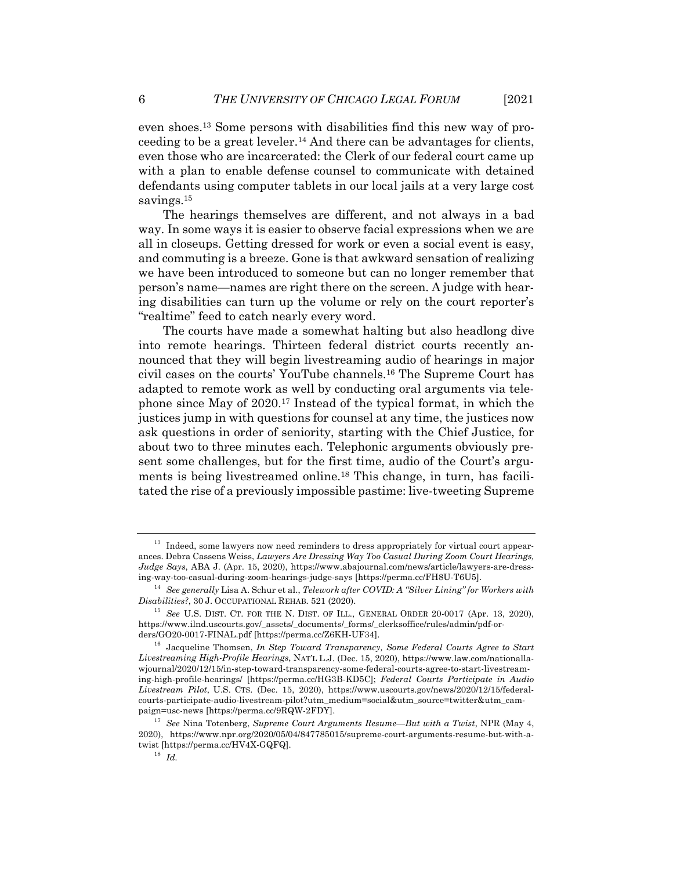even shoes.13 Some persons with disabilities find this new way of proceeding to be a great leveler.<sup>14</sup> And there can be advantages for clients, even those who are incarcerated: the Clerk of our federal court came up with a plan to enable defense counsel to communicate with detained defendants using computer tablets in our local jails at a very large cost savings.<sup>15</sup>

The hearings themselves are different, and not always in a bad way. In some ways it is easier to observe facial expressions when we are all in closeups. Getting dressed for work or even a social event is easy, and commuting is a breeze. Gone is that awkward sensation of realizing we have been introduced to someone but can no longer remember that person's name—names are right there on the screen. A judge with hearing disabilities can turn up the volume or rely on the court reporter's "realtime" feed to catch nearly every word.

The courts have made a somewhat halting but also headlong dive into remote hearings. Thirteen federal district courts recently announced that they will begin livestreaming audio of hearings in major civil cases on the courts' YouTube channels.16 The Supreme Court has adapted to remote work as well by conducting oral arguments via telephone since May of 2020.17 Instead of the typical format, in which the justices jump in with questions for counsel at any time, the justices now ask questions in order of seniority, starting with the Chief Justice, for about two to three minutes each. Telephonic arguments obviously present some challenges, but for the first time, audio of the Court's arguments is being livestreamed online.18 This change, in turn, has facilitated the rise of a previously impossible pastime: live-tweeting Supreme

<sup>&</sup>lt;sup>13</sup> Indeed, some lawyers now need reminders to dress appropriately for virtual court appearances. Debra Cassens Weiss, *Lawyers Are Dressing Way Too Casual During Zoom Court Hearings, Judge Says*, ABA J. (Apr. 15, 2020), https://www.abajournal.com/news/article/lawyers-are-dressing-way-too-casual-during-zoom-hearings-judge-says [https://perma.cc/FH8U-T6U5].

<sup>14</sup> *See generally* Lisa A. Schur et al., *Telework after COVID: A "Silver Lining" for Workers with Disabilities?*, 30 J. OCCUPATIONAL REHAB. 521 (2020).

<sup>15</sup> *See* U.S. DIST. CT. FOR THE N. DIST. OF ILL., GENERAL ORDER 20-0017 (Apr. 13, 2020), https://www.ilnd.uscourts.gov/\_assets/\_documents/\_forms/\_clerksoffice/rules/admin/pdf-orders/GO20-0017-FINAL.pdf [https://perma.cc/Z6KH-UF34].

<sup>16</sup> Jacqueline Thomsen, *In Step Toward Transparency, Some Federal Courts Agree to Start Livestreaming High-Profile Hearings*, NAT'L L.J. (Dec. 15, 2020), https://www.law.com/nationallawjournal/2020/12/15/in-step-toward-transparency-some-federal-courts-agree-to-start-livestreaming-high-profile-hearings/ [https://perma.cc/HG3B-KD5C]; *Federal Courts Participate in Audio Livestream Pilot*, U.S. CTS. (Dec. 15, 2020), https://www.uscourts.gov/news/2020/12/15/federalcourts-participate-audio-livestream-pilot?utm\_medium=social&utm\_source=twitter&utm\_campaign=usc-news [https://perma.cc/9RQW-2FDY].

<sup>17</sup> *See* Nina Totenberg, *Supreme Court Arguments Resume—But with a Twist*, NPR (May 4, 2020), https://www.npr.org/2020/05/04/847785015/supreme-court-arguments-resume-but-with-atwist [https://perma.cc/HV4X-GQFQ].

<sup>18</sup> *Id.*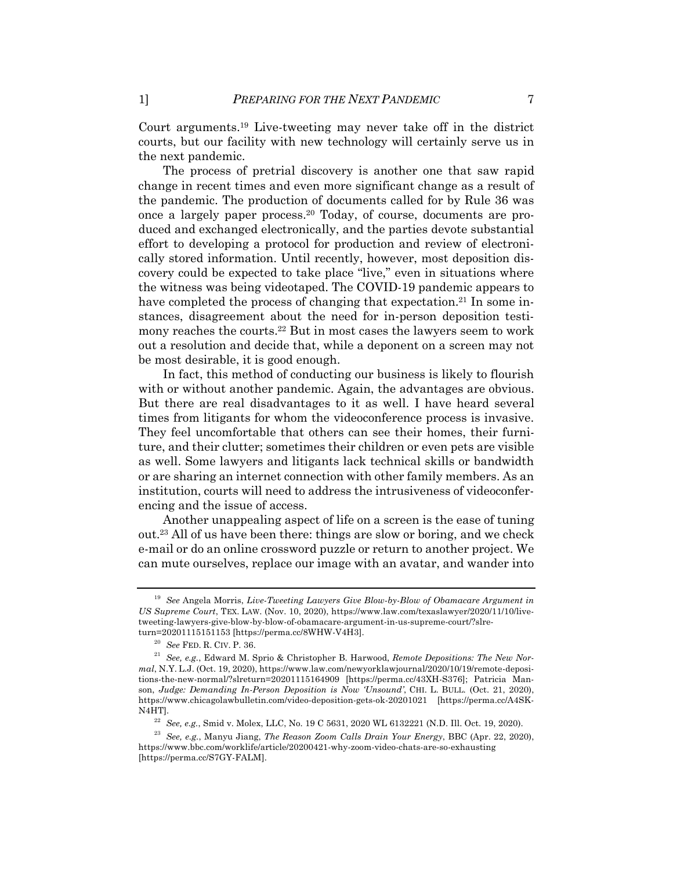Court arguments.19 Live-tweeting may never take off in the district courts, but our facility with new technology will certainly serve us in the next pandemic.

The process of pretrial discovery is another one that saw rapid change in recent times and even more significant change as a result of the pandemic. The production of documents called for by Rule 36 was once a largely paper process.20 Today, of course, documents are produced and exchanged electronically, and the parties devote substantial effort to developing a protocol for production and review of electronically stored information. Until recently, however, most deposition discovery could be expected to take place "live," even in situations where the witness was being videotaped. The COVID-19 pandemic appears to have completed the process of changing that expectation.<sup>21</sup> In some instances, disagreement about the need for in-person deposition testimony reaches the courts.22 But in most cases the lawyers seem to work out a resolution and decide that, while a deponent on a screen may not be most desirable, it is good enough.

In fact, this method of conducting our business is likely to flourish with or without another pandemic. Again, the advantages are obvious. But there are real disadvantages to it as well. I have heard several times from litigants for whom the videoconference process is invasive. They feel uncomfortable that others can see their homes, their furniture, and their clutter; sometimes their children or even pets are visible as well. Some lawyers and litigants lack technical skills or bandwidth or are sharing an internet connection with other family members. As an institution, courts will need to address the intrusiveness of videoconferencing and the issue of access.

Another unappealing aspect of life on a screen is the ease of tuning out.23 All of us have been there: things are slow or boring, and we check e-mail or do an online crossword puzzle or return to another project. We can mute ourselves, replace our image with an avatar, and wander into

<sup>19</sup> *See* Angela Morris, *Live-Tweeting Lawyers Give Blow-by-Blow of Obamacare Argument in US Supreme Court*, TEX. LAW. (Nov. 10, 2020), https://www.law.com/texaslawyer/2020/11/10/livetweeting-lawyers-give-blow-by-blow-of-obamacare-argument-in-us-supreme-court/?slreturn=20201115151153 [https://perma.cc/8WHW-V4H3].

<sup>20</sup> *See* FED. R. CIV. P. 36.

<sup>21</sup> *See, e.g.*, Edward M. Sprio & Christopher B. Harwood, *Remote Depositions: The New Normal*, N.Y. L.J. (Oct. 19, 2020), https://www.law.com/newyorklawjournal/2020/10/19/remote-depositions-the-new-normal/?slreturn=20201115164909 [https://perma.cc/43XH-S376]; Patricia Manson, *Judge: Demanding In-Person Deposition is Now 'Unsound'*, CHI. L. BULL. (Oct. 21, 2020), https://www.chicagolawbulletin.com/video-deposition-gets-ok-20201021 [https://perma.cc/A4SK-N4HT].

<sup>22</sup> *See, e.g.*, Smid v. Molex, LLC, No. 19 C 5631, 2020 WL 6132221 (N.D. Ill. Oct. 19, 2020).

<sup>23</sup> *See, e.g.*, Manyu Jiang, *The Reason Zoom Calls Drain Your Energy*, BBC (Apr. 22, 2020), https://www.bbc.com/worklife/article/20200421-why-zoom-video-chats-are-so-exhausting [https://perma.cc/S7GY-FALM].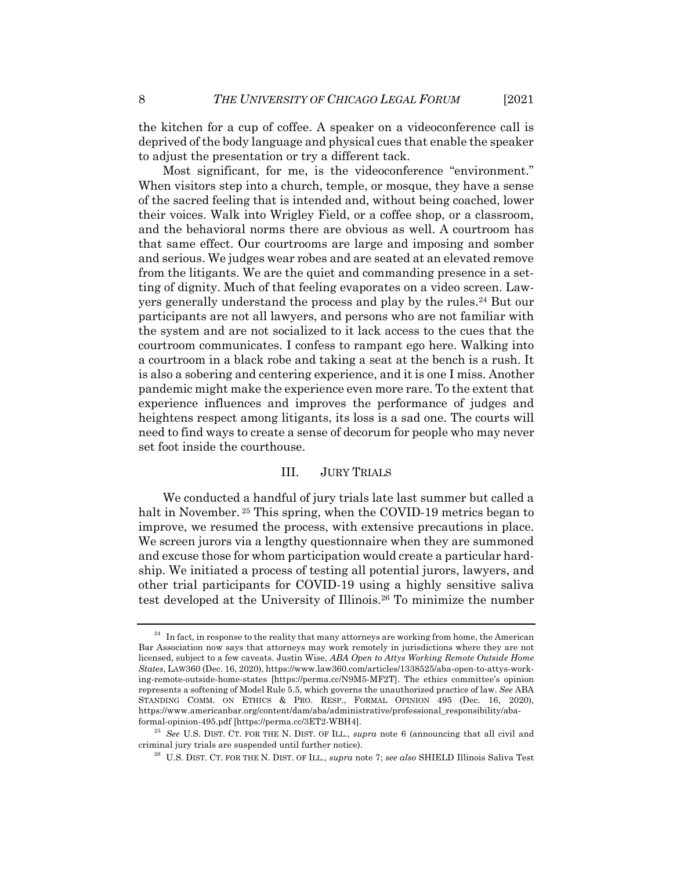the kitchen for a cup of coffee. A speaker on a videoconference call is deprived of the body language and physical cues that enable the speaker to adjust the presentation or try a different tack.

Most significant, for me, is the videoconference "environment." When visitors step into a church, temple, or mosque, they have a sense of the sacred feeling that is intended and, without being coached, lower their voices. Walk into Wrigley Field, or a coffee shop, or a classroom, and the behavioral norms there are obvious as well. A courtroom has that same effect. Our courtrooms are large and imposing and somber and serious. We judges wear robes and are seated at an elevated remove from the litigants. We are the quiet and commanding presence in a setting of dignity. Much of that feeling evaporates on a video screen. Lawyers generally understand the process and play by the rules.<sup>24</sup> But our participants are not all lawyers, and persons who are not familiar with the system and are not socialized to it lack access to the cues that the courtroom communicates. I confess to rampant ego here. Walking into a courtroom in a black robe and taking a seat at the bench is a rush. It is also a sobering and centering experience, and it is one I miss. Another pandemic might make the experience even more rare. To the extent that experience influences and improves the performance of judges and heightens respect among litigants, its loss is a sad one. The courts will need to find ways to create a sense of decorum for people who may never set foot inside the courthouse.

#### III. JURY TRIALS

We conducted a handful of jury trials late last summer but called a halt in November.<sup>25</sup> This spring, when the COVID-19 metrics began to improve, we resumed the process, with extensive precautions in place. We screen jurors via a lengthy questionnaire when they are summoned and excuse those for whom participation would create a particular hardship. We initiated a process of testing all potential jurors, lawyers, and other trial participants for COVID-19 using a highly sensitive saliva test developed at the University of Illinois.26 To minimize the number

 $^\mathrm{24}$  In fact, in response to the reality that many attorneys are working from home, the American Bar Association now says that attorneys may work remotely in jurisdictions where they are not licensed, subject to a few caveats. Justin Wise, *ABA Open to Attys Working Remote Outside Home States*, LAW360 (Dec. 16, 2020), https://www.law360.com/articles/1338525/aba-open-to-attys-working-remote-outside-home-states [https://perma.cc/N9M5-MF2T]. The ethics committee's opinion represents a softening of Model Rule 5.5, which governs the unauthorized practice of law. *See* ABA STANDING COMM. ON ETHICS & PRO. RESP., FORMAL OPINION 495 (Dec. 16, 2020), https://www.americanbar.org/content/dam/aba/administrative/professional\_responsibility/abaformal-opinion-495.pdf [https://perma.cc/3ET2-WBH4].

<sup>25</sup> *See* U.S. DIST. CT. FOR THE N. DIST. OF ILL., *supra* note 6 (announcing that all civil and criminal jury trials are suspended until further notice).

<sup>26</sup> U.S. DIST. CT. FOR THE N. DIST. OF ILL., *supra* note 7; *see also* SHIELD Illinois Saliva Test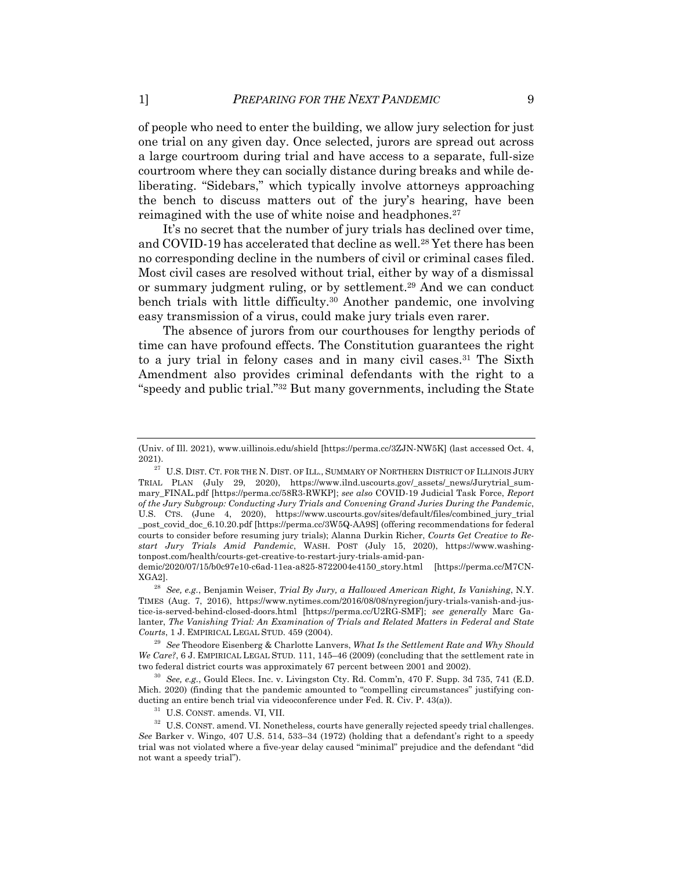of people who need to enter the building, we allow jury selection for just one trial on any given day. Once selected, jurors are spread out across a large courtroom during trial and have access to a separate, full-size courtroom where they can socially distance during breaks and while deliberating. "Sidebars," which typically involve attorneys approaching the bench to discuss matters out of the jury's hearing, have been reimagined with the use of white noise and headphones.<sup>27</sup>

It's no secret that the number of jury trials has declined over time, and COVID-19 has accelerated that decline as well.<sup>28</sup> Yet there has been no corresponding decline in the numbers of civil or criminal cases filed. Most civil cases are resolved without trial, either by way of a dismissal or summary judgment ruling, or by settlement.29 And we can conduct bench trials with little difficulty.30 Another pandemic, one involving easy transmission of a virus, could make jury trials even rarer.

The absence of jurors from our courthouses for lengthy periods of time can have profound effects. The Constitution guarantees the right to a jury trial in felony cases and in many civil cases.31 The Sixth Amendment also provides criminal defendants with the right to a "speedy and public trial."32 But many governments, including the State

<sup>(</sup>Univ. of Ill. 2021), www.uillinois.edu/shield [https://perma.cc/3ZJN-NW5K] (last accessed Oct. 4, 2021).

 $^{27}$  U.S. DIST. CT. FOR THE N. DIST. OF ILL., SUMMARY OF NORTHERN DISTRICT OF ILLINOIS JURY TRIAL PLAN (July 29, 2020), https://www.ilnd.uscourts.gov/\_assets/\_news/Jurytrial\_summary\_FINAL.pdf [https://perma.cc/58R3-RWKP]; *see also* COVID-19 Judicial Task Force, *Report of the Jury Subgroup: Conducting Jury Trials and Convening Grand Juries During the Pandemic*, U.S. CTS. (June 4, 2020), https://www.uscourts.gov/sites/default/files/combined\_jury\_trial \_post\_covid\_doc\_6.10.20.pdf [https://perma.cc/3W5Q-AA9S] (offering recommendations for federal courts to consider before resuming jury trials); Alanna Durkin Richer, *Courts Get Creative to Restart Jury Trials Amid Pandemic*, WASH. POST (July 15, 2020), https://www.washingtonpost.com/health/courts-get-creative-to-restart-jury-trials-amid-pan-

demic/2020/07/15/b0c97e10-c6ad-11ea-a825-8722004e4150\_story.html [https://perma.cc/M7CN-XGA2].

<sup>28</sup> *See, e.g.*, Benjamin Weiser, *Trial By Jury, a Hallowed American Right, Is Vanishing*, N.Y. TIMES (Aug. 7, 2016), https://www.nytimes.com/2016/08/08/nyregion/jury-trials-vanish-and-justice-is-served-behind-closed-doors.html [https://perma.cc/U2RG-SMF]; *see generally* Marc Galanter, *The Vanishing Trial: An Examination of Trials and Related Matters in Federal and State Courts*, 1 J. EMPIRICAL LEGAL STUD. 459 (2004).

<sup>29</sup> *See* Theodore Eisenberg & Charlotte Lanvers, *What Is the Settlement Rate and Why Should We Care?*, 6 J. EMPIRICAL LEGAL STUD. 111, 145–46 (2009) (concluding that the settlement rate in two federal district courts was approximately 67 percent between 2001 and 2002).

<sup>30</sup> *See, e.g.*, Gould Elecs. Inc. v. Livingston Cty. Rd. Comm'n, 470 F. Supp. 3d 735, 741 (E.D. Mich. 2020) (finding that the pandemic amounted to "compelling circumstances" justifying conducting an entire bench trial via videoconference under Fed. R. Civ. P. 43(a)).

<sup>31</sup> U.S. CONST. amends. VI, VII.

<sup>&</sup>lt;sup>32</sup> U.S. CONST. amend. VI. Nonetheless, courts have generally rejected speedy trial challenges. *See* Barker v. Wingo, 407 U.S. 514, 533–34 (1972) (holding that a defendant's right to a speedy trial was not violated where a five-year delay caused "minimal" prejudice and the defendant "did not want a speedy trial").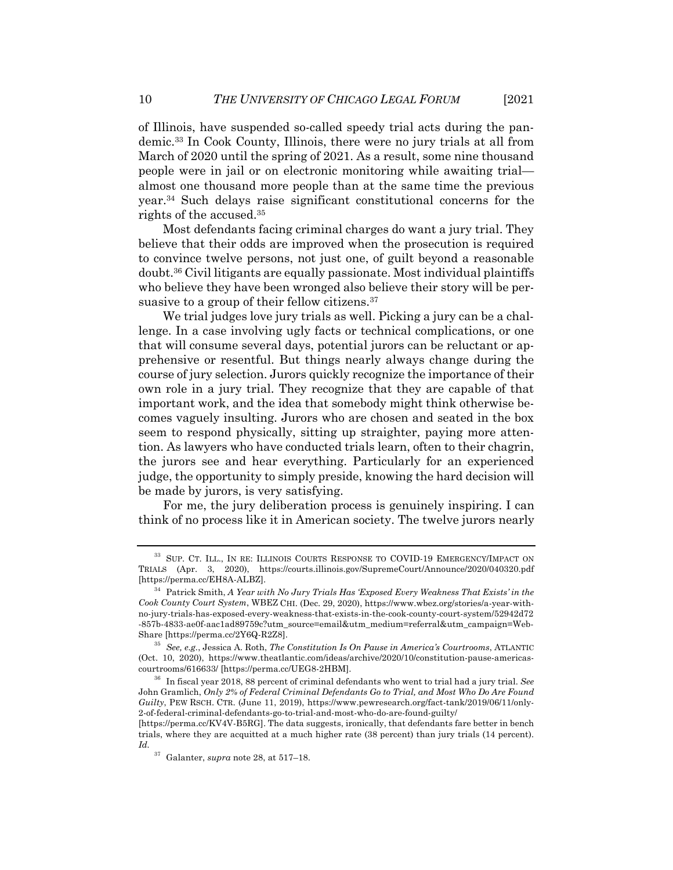of Illinois, have suspended so-called speedy trial acts during the pandemic.33 In Cook County, Illinois, there were no jury trials at all from March of 2020 until the spring of 2021. As a result, some nine thousand people were in jail or on electronic monitoring while awaiting trial almost one thousand more people than at the same time the previous year.34 Such delays raise significant constitutional concerns for the rights of the accused.35

Most defendants facing criminal charges do want a jury trial. They believe that their odds are improved when the prosecution is required to convince twelve persons, not just one, of guilt beyond a reasonable doubt.36 Civil litigants are equally passionate. Most individual plaintiffs who believe they have been wronged also believe their story will be persuasive to a group of their fellow citizens.<sup>37</sup>

We trial judges love jury trials as well. Picking a jury can be a challenge. In a case involving ugly facts or technical complications, or one that will consume several days, potential jurors can be reluctant or apprehensive or resentful. But things nearly always change during the course of jury selection. Jurors quickly recognize the importance of their own role in a jury trial. They recognize that they are capable of that important work, and the idea that somebody might think otherwise becomes vaguely insulting. Jurors who are chosen and seated in the box seem to respond physically, sitting up straighter, paying more attention. As lawyers who have conducted trials learn, often to their chagrin, the jurors see and hear everything. Particularly for an experienced judge, the opportunity to simply preside, knowing the hard decision will be made by jurors, is very satisfying.

For me, the jury deliberation process is genuinely inspiring. I can think of no process like it in American society. The twelve jurors nearly

<sup>&</sup>lt;sup>33</sup> SUP. CT. ILL., IN RE: ILLINOIS COURTS RESPONSE TO COVID-19 EMERGENCY/IMPACT ON TRIALS (Apr. 3, 2020), https://courts.illinois.gov/SupremeCourt/Announce/2020/040320.pdf [https://perma.cc/EH8A-ALBZ].

<sup>34</sup> Patrick Smith, *A Year with No Jury Trials Has 'Exposed Every Weakness That Exists' in the Cook County Court System*, WBEZ CHI. (Dec. 29, 2020), https://www.wbez.org/stories/a-year-withno-jury-trials-has-exposed-every-weakness-that-exists-in-the-cook-county-court-system/52942d72 -857b-4833-ae0f-aac1ad89759c?utm\_source=email&utm\_medium=referral&utm\_campaign=Web-Share [https://perma.cc/2Y6Q-R2Z8].

<sup>35</sup> *See, e.g.*, Jessica A. Roth, *The Constitution Is On Pause in America's Courtrooms*, ATLANTIC (Oct. 10, 2020), https://www.theatlantic.com/ideas/archive/2020/10/constitution-pause-americascourtrooms/616633/ [https://perma.cc/UEG8-2HBM].

<sup>36</sup> In fiscal year 2018, 88 percent of criminal defendants who went to trial had a jury trial. *See* John Gramlich, *Only 2% of Federal Criminal Defendants Go to Trial, and Most Who Do Are Found Guilty*, PEW RSCH. CTR. (June 11, 2019), https://www.pewresearch.org/fact-tank/2019/06/11/only-2-of-federal-criminal-defendants-go-to-trial-and-most-who-do-are-found-guilty/

<sup>[</sup>https://perma.cc/KV4V-B5RG]. The data suggests, ironically, that defendants fare better in bench trials, where they are acquitted at a much higher rate (38 percent) than jury trials (14 percent). *Id.*

<sup>37</sup> Galanter, *supra* note 28, at 517–18.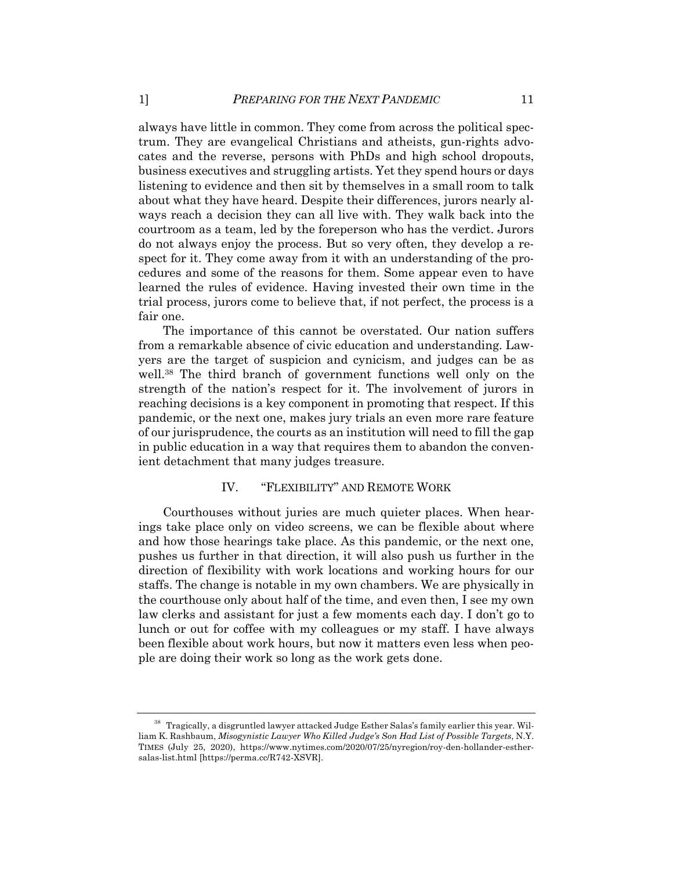always have little in common. They come from across the political spectrum. They are evangelical Christians and atheists, gun-rights advocates and the reverse, persons with PhDs and high school dropouts, business executives and struggling artists. Yet they spend hours or days listening to evidence and then sit by themselves in a small room to talk about what they have heard. Despite their differences, jurors nearly always reach a decision they can all live with. They walk back into the courtroom as a team, led by the foreperson who has the verdict. Jurors do not always enjoy the process. But so very often, they develop a respect for it. They come away from it with an understanding of the procedures and some of the reasons for them. Some appear even to have learned the rules of evidence. Having invested their own time in the trial process, jurors come to believe that, if not perfect, the process is a fair one.

The importance of this cannot be overstated. Our nation suffers from a remarkable absence of civic education and understanding. Lawyers are the target of suspicion and cynicism, and judges can be as well.38 The third branch of government functions well only on the strength of the nation's respect for it. The involvement of jurors in reaching decisions is a key component in promoting that respect. If this pandemic, or the next one, makes jury trials an even more rare feature of our jurisprudence, the courts as an institution will need to fill the gap in public education in a way that requires them to abandon the convenient detachment that many judges treasure.

#### IV. "FLEXIBILITY" AND REMOTE WORK

Courthouses without juries are much quieter places. When hearings take place only on video screens, we can be flexible about where and how those hearings take place. As this pandemic, or the next one, pushes us further in that direction, it will also push us further in the direction of flexibility with work locations and working hours for our staffs. The change is notable in my own chambers. We are physically in the courthouse only about half of the time, and even then, I see my own law clerks and assistant for just a few moments each day. I don't go to lunch or out for coffee with my colleagues or my staff. I have always been flexible about work hours, but now it matters even less when people are doing their work so long as the work gets done.

<sup>38</sup> Tragically, a disgruntled lawyer attacked Judge Esther Salas's family earlier this year. William K. Rashbaum, *Misogynistic Lawyer Who Killed Judge's Son Had List of Possible Targets*, N.Y. TIMES (July 25, 2020), https://www.nytimes.com/2020/07/25/nyregion/roy-den-hollander-esthersalas-list.html [https://perma.cc/R742-XSVR].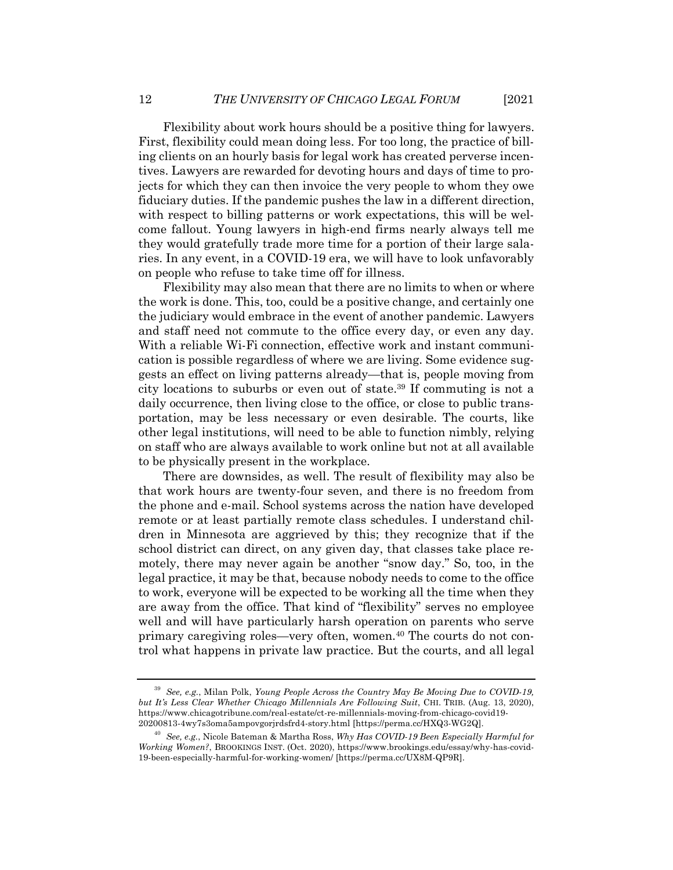Flexibility about work hours should be a positive thing for lawyers. First, flexibility could mean doing less. For too long, the practice of billing clients on an hourly basis for legal work has created perverse incentives. Lawyers are rewarded for devoting hours and days of time to projects for which they can then invoice the very people to whom they owe fiduciary duties. If the pandemic pushes the law in a different direction, with respect to billing patterns or work expectations, this will be welcome fallout. Young lawyers in high-end firms nearly always tell me they would gratefully trade more time for a portion of their large salaries. In any event, in a COVID-19 era, we will have to look unfavorably on people who refuse to take time off for illness.

Flexibility may also mean that there are no limits to when or where the work is done. This, too, could be a positive change, and certainly one the judiciary would embrace in the event of another pandemic. Lawyers and staff need not commute to the office every day, or even any day. With a reliable Wi-Fi connection, effective work and instant communication is possible regardless of where we are living. Some evidence suggests an effect on living patterns already—that is, people moving from city locations to suburbs or even out of state.39 If commuting is not a daily occurrence, then living close to the office, or close to public transportation, may be less necessary or even desirable. The courts, like other legal institutions, will need to be able to function nimbly, relying on staff who are always available to work online but not at all available to be physically present in the workplace.

There are downsides, as well. The result of flexibility may also be that work hours are twenty-four seven, and there is no freedom from the phone and e-mail. School systems across the nation have developed remote or at least partially remote class schedules. I understand children in Minnesota are aggrieved by this; they recognize that if the school district can direct, on any given day, that classes take place remotely, there may never again be another "snow day." So, too, in the legal practice, it may be that, because nobody needs to come to the office to work, everyone will be expected to be working all the time when they are away from the office. That kind of "flexibility" serves no employee well and will have particularly harsh operation on parents who serve primary caregiving roles—very often, women.40 The courts do not control what happens in private law practice. But the courts, and all legal

<sup>39</sup> *See, e.g.*, Milan Polk, *Young People Across the Country May Be Moving Due to COVID-19, but It's Less Clear Whether Chicago Millennials Are Following Suit*, CHI. TRIB. (Aug. 13, 2020), https://www.chicagotribune.com/real-estate/ct-re-millennials-moving-from-chicago-covid19- 20200813-4wy7s3oma5ampovgorjrdsfrd4-story.html [https://perma.cc/HXQ3-WG2Q].

<sup>40</sup> *See, e.g.*, Nicole Bateman & Martha Ross, *Why Has COVID-19 Been Especially Harmful for Working Women?*, BROOKINGS INST. (Oct. 2020), https://www.brookings.edu/essay/why-has-covid-19-been-especially-harmful-for-working-women/ [https://perma.cc/UX8M-QP9R].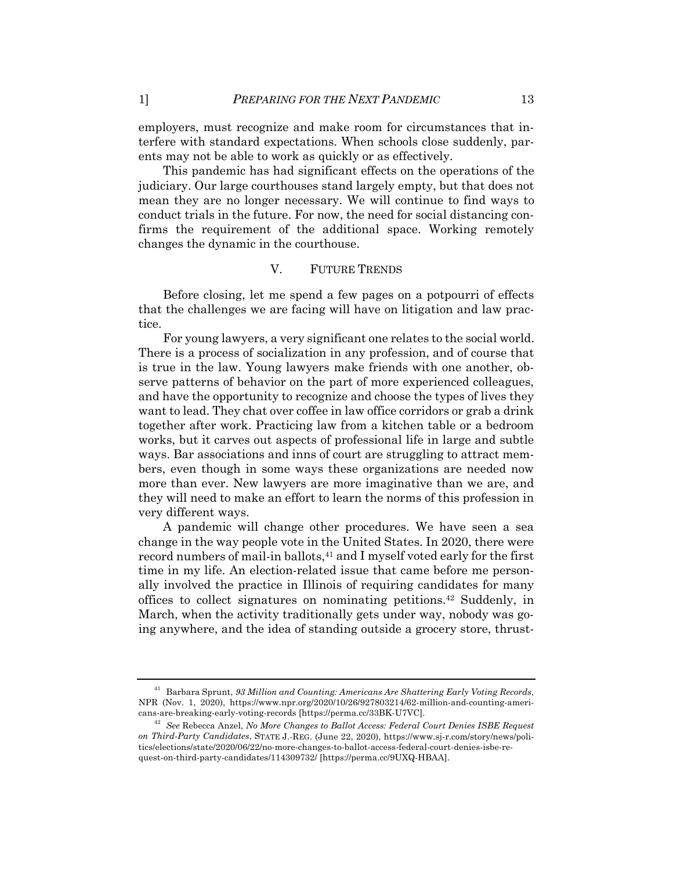employers, must recognize and make room for circumstances that interfere with standard expectations. When schools close suddenly, parents may not be able to work as quickly or as effectively.

This pandemic has had significant effects on the operations of the judiciary. Our large courthouses stand largely empty, but that does not mean they are no longer necessary. We will continue to find ways to conduct trials in the future. For now, the need for social distancing confirms the requirement of the additional space. Working remotely changes the dynamic in the courthouse.

#### V. FUTURE TRENDS

Before closing, let me spend a few pages on a potpourri of effects that the challenges we are facing will have on litigation and law practice.

For young lawyers, a very significant one relates to the social world. There is a process of socialization in any profession, and of course that is true in the law. Young lawyers make friends with one another, observe patterns of behavior on the part of more experienced colleagues, and have the opportunity to recognize and choose the types of lives they want to lead. They chat over coffee in law office corridors or grab a drink together after work. Practicing law from a kitchen table or a bedroom works, but it carves out aspects of professional life in large and subtle ways. Bar associations and inns of court are struggling to attract members, even though in some ways these organizations are needed now more than ever. New lawyers are more imaginative than we are, and they will need to make an effort to learn the norms of this profession in very different ways.

A pandemic will change other procedures. We have seen a sea change in the way people vote in the United States. In 2020, there were record numbers of mail-in ballots,<sup>41</sup> and I myself voted early for the first time in my life. An election-related issue that came before me personally involved the practice in Illinois of requiring candidates for many offices to collect signatures on nominating petitions.42 Suddenly, in March, when the activity traditionally gets under way, nobody was going anywhere, and the idea of standing outside a grocery store, thrust-

<sup>41</sup> Barbara Sprunt, *93 Million and Counting: Americans Are Shattering Early Voting Records*, NPR (Nov. 1, 2020), https://www.npr.org/2020/10/26/927803214/62-million-and-counting-americans-are-breaking-early-voting-records [https://perma.cc/33BK-U7VC].

<sup>42</sup> *See* Rebecca Anzel, *No More Changes to Ballot Access: Federal Court Denies ISBE Request on Third-Party Candidates*, STATE J.-REG. (June 22, 2020), https://www.sj-r.com/story/news/politics/elections/state/2020/06/22/no-more-changes-to-ballot-access-federal-court-denies-isbe-request-on-third-party-candidates/114309732/ [https://perma.cc/9UXQ-HBAA].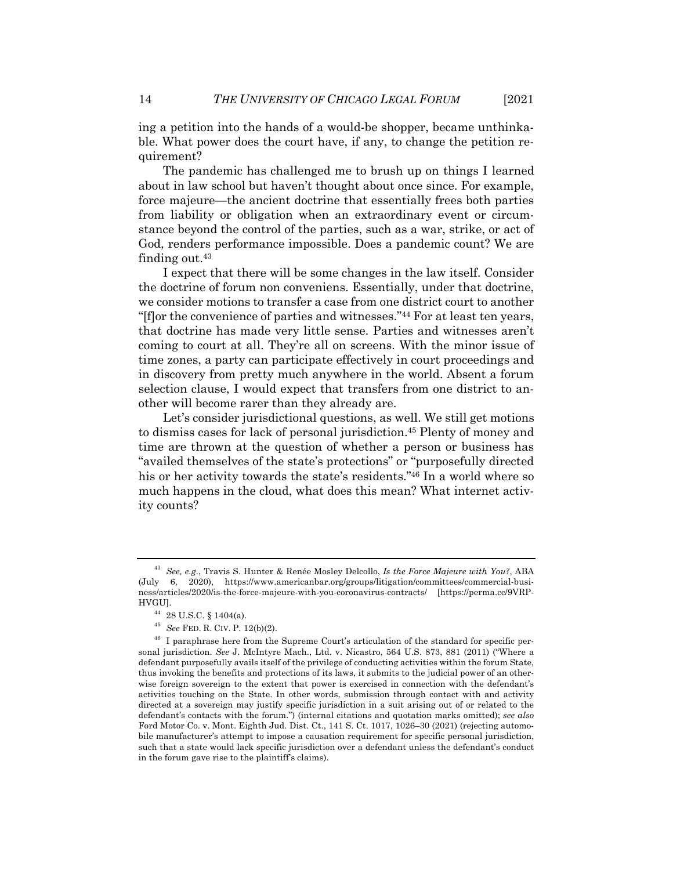ing a petition into the hands of a would-be shopper, became unthinkable. What power does the court have, if any, to change the petition requirement?

The pandemic has challenged me to brush up on things I learned about in law school but haven't thought about once since. For example, force majeure—the ancient doctrine that essentially frees both parties from liability or obligation when an extraordinary event or circumstance beyond the control of the parties, such as a war, strike, or act of God, renders performance impossible. Does a pandemic count? We are finding out. $43$ 

I expect that there will be some changes in the law itself. Consider the doctrine of forum non conveniens. Essentially, under that doctrine, we consider motions to transfer a case from one district court to another "[f]or the convenience of parties and witnesses."44 For at least ten years, that doctrine has made very little sense. Parties and witnesses aren't coming to court at all. They're all on screens. With the minor issue of time zones, a party can participate effectively in court proceedings and in discovery from pretty much anywhere in the world. Absent a forum selection clause, I would expect that transfers from one district to another will become rarer than they already are.

Let's consider jurisdictional questions, as well. We still get motions to dismiss cases for lack of personal jurisdiction.45 Plenty of money and time are thrown at the question of whether a person or business has "availed themselves of the state's protections" or "purposefully directed his or her activity towards the state's residents."46 In a world where so much happens in the cloud, what does this mean? What internet activity counts?

<sup>43</sup> *See, e.g.*, Travis S. Hunter & Renée Mosley Delcollo, *Is the Force Majeure with You?*, ABA (July 6, 2020), https://www.americanbar.org/groups/litigation/committees/commercial-business/articles/2020/is-the-force-majeure-with-you-coronavirus-contracts/ [https://perma.cc/9VRP-HVGU].

<sup>44</sup> 28 U.S.C. § 1404(a).

<sup>45</sup> *See* FED. R. CIV. P. 12(b)(2).

<sup>&</sup>lt;sup>46</sup> I paraphrase here from the Supreme Court's articulation of the standard for specific personal jurisdiction. *See* J. McIntyre Mach., Ltd. v. Nicastro, 564 U.S. 873, 881 (2011) ("Where a defendant purposefully avails itself of the privilege of conducting activities within the forum State, thus invoking the benefits and protections of its laws, it submits to the judicial power of an otherwise foreign sovereign to the extent that power is exercised in connection with the defendant's activities touching on the State. In other words, submission through contact with and activity directed at a sovereign may justify specific jurisdiction in a suit arising out of or related to the defendant's contacts with the forum.") (internal citations and quotation marks omitted); *see also* Ford Motor Co. v. Mont. Eighth Jud. Dist. Ct., 141 S. Ct. 1017, 1026–30 (2021) (rejecting automobile manufacturer's attempt to impose a causation requirement for specific personal jurisdiction, such that a state would lack specific jurisdiction over a defendant unless the defendant's conduct in the forum gave rise to the plaintiff's claims).